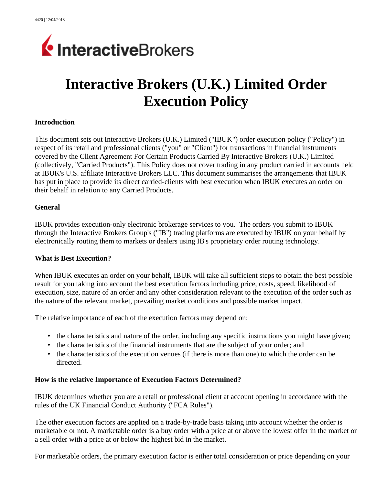

# **Interactive Brokers (U.K.) Limited Order Execution Policy**

#### **Introduction**

This document sets out Interactive Brokers (U.K.) Limited ("IBUK") order execution policy ("Policy") in respect of its retail and professional clients ("you" or "Client") for transactions in financial instruments covered by the Client Agreement For Certain Products Carried By Interactive Brokers (U.K.) Limited (collectively, "Carried Products"). This Policy does not cover trading in any product carried in accounts held at IBUK's U.S. affiliate Interactive Brokers LLC. This document summarises the arrangements that IBUK has put in place to provide its direct carried-clients with best execution when IBUK executes an order on their behalf in relation to any Carried Products.

#### **General**

IBUK provides execution-only electronic brokerage services to you. The orders you submit to IBUK through the Interactive Brokers Group's ("IB") trading platforms are executed by IBUK on your behalf by electronically routing them to markets or dealers using IB's proprietary order routing technology.

#### **What is Best Execution?**

When IBUK executes an order on your behalf, IBUK will take all sufficient steps to obtain the best possible result for you taking into account the best execution factors including price, costs, speed, likelihood of execution, size, nature of an order and any other consideration relevant to the execution of the order such as the nature of the relevant market, prevailing market conditions and possible market impact.

The relative importance of each of the execution factors may depend on:

- the characteristics and nature of the order, including any specific instructions you might have given;
- the characteristics of the financial instruments that are the subject of your order; and
- the characteristics of the execution venues (if there is more than one) to which the order can be directed.

#### **How is the relative Importance of Execution Factors Determined?**

IBUK determines whether you are a retail or professional client at account opening in accordance with the rules of the UK Financial Conduct Authority ("FCA Rules").

The other execution factors are applied on a trade-by-trade basis taking into account whether the order is marketable or not. A marketable order is a buy order with a price at or above the lowest offer in the market or a sell order with a price at or below the highest bid in the market.

For marketable orders, the primary execution factor is either total consideration or price depending on your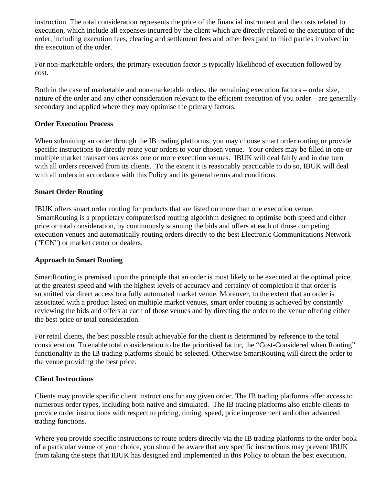instruction. The total consideration represents the price of the financial instrument and the costs related to execution, which include all expenses incurred by the client which are directly related to the execution of the order, including execution fees, clearing and settlement fees and other fees paid to third parties involved in the execution of the order.

For non-marketable orders, the primary execution factor is typically likelihood of execution followed by cost.

Both in the case of marketable and non-marketable orders, the remaining execution factors – order size, nature of the order and any other consideration relevant to the efficient execution of you order – are generally secondary and applied where they may optimise the primary factors.

#### **Order Execution Process**

When submitting an order through the IB trading platforms, you may choose smart order routing or provide specific instructions to directly route your orders to your chosen venue. Your orders may be filled in one or multiple market transactions across one or more execution venues. IBUK will deal fairly and in due turn with all orders received from its clients. To the extent it is reasonably practicable to do so, IBUK will deal with all orders in accordance with this Policy and its general terms and conditions.

## **Smart Order Routing**

IBUK offers smart order routing for products that are listed on more than one execution venue. SmartRouting is a proprietary computerised routing algorithm designed to optimise both speed and either price or total consideration, by continuously scanning the bids and offers at each of those competing execution venues and automatically routing orders directly to the best Electronic Communications Network ("ECN") or market center or dealers.

## **Approach to Smart Routing**

SmartRouting is premised upon the principle that an order is most likely to be executed at the optimal price, at the greatest speed and with the highest levels of accuracy and certainty of completion if that order is submitted via direct access to a fully automated market venue. Moreover, to the extent that an order is associated with a product listed on multiple market venues, smart order routing is achieved by constantly reviewing the bids and offers at each of those venues and by directing the order to the venue offering either the best price or total consideration.

For retail clients, the best possible result achievable for the client is determined by reference to the total consideration. To enable total consideration to be the prioritised factor, the "Cost-Considered when Routing" functionality in the IB trading platforms should be selected. Otherwise SmartRouting will direct the order to the venue providing the best price.

#### **Client Instructions**

Clients may provide specific client instructions for any given order. The IB trading platforms offer access to numerous order types, including both native and simulated. The IB trading platforms also enable clients to provide order instructions with respect to pricing, timing, speed, price improvement and other advanced trading functions.

Where you provide specific instructions to route orders directly via the IB trading platforms to the order book of a particular venue of your choice, you should be aware that any specific instructions may prevent IBUK from taking the steps that IBUK has designed and implemented in this Policy to obtain the best execution.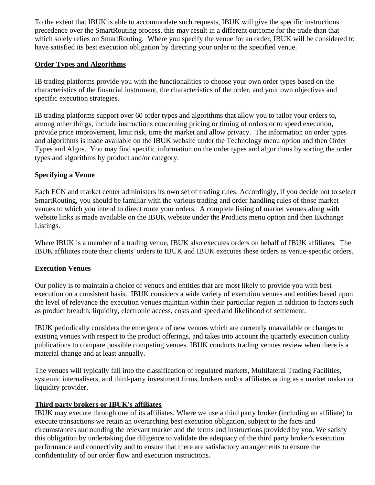To the extent that IBUK is able to accommodate such requests, IBUK will give the specific instructions precedence over the SmartRouting process, this may result in a different outcome for the trade than that which solely relies on SmartRouting. Where you specify the venue for an order, IBUK will be considered to have satisfied its best execution obligation by directing your order to the specified venue.

#### **Order Types and Algorithms**

IB trading platforms provide you with the functionalities to choose your own order types based on the characteristics of the financial instrument, the characteristics of the order, and your own objectives and specific execution strategies.

IB trading platforms support over 60 order types and algorithms that allow you to tailor your orders to, among other things, include instructions concerning pricing or timing of orders or to speed execution, provide price improvement, limit risk, time the market and allow privacy. The information on order types and algorithms is made available on the IBUK website under the Technology menu option and then Order Types and Algos. You may find specific information on the order types and algorithms by sorting the order types and algorithms by product and/or category.

#### **Specifying a Venue**

Each ECN and market center administers its own set of trading rules. Accordingly, if you decide not to select SmartRouting, you should be familiar with the various trading and order handling rules of those market venues to which you intend to direct route your orders. A complete listing of market venues along with website links is made available on the IBUK website under the Products menu option and then Exchange Listings.

Where IBUK is a member of a trading venue, IBUK also executes orders on behalf of IBUK affiliates. The IBUK affiliates route their clients' orders to IBUK and IBUK executes these orders as venue-specific orders.

#### **Execution Venues**

Our policy is to maintain a choice of venues and entities that are most likely to provide you with best execution on a consistent basis. IBUK considers a wide variety of execution venues and entities based upon the level of relevance the execution venues maintain within their particular region in addition to factors such as product breadth, liquidity, electronic access, costs and speed and likelihood of settlement.

IBUK periodically considers the emergence of new venues which are currently unavailable or changes to existing venues with respect to the product offerings, and takes into account the quarterly execution quality publications to compare possible competing venues. IBUK conducts trading venues review when there is a material change and at least annually.

The venues will typically fall into the classification of regulated markets, Multilateral Trading Facilities, systemic internalisers, and third-party investment firms, brokers and/or affiliates acting as a market maker or liquidity provider.

## **Third party brokers or IBUK's affiliates**

IBUK may execute through one of its affiliates. Where we use a third party broker (including an affiliate) to execute transactions we retain an overarching best execution obligation, subject to the facts and circumstances surrounding the relevant market and the terms and instructions provided by you. We satisfy this obligation by undertaking due diligence to validate the adequacy of the third party broker's execution performance and connectivity and to ensure that there are satisfactory arrangements to ensure the confidentiality of our order flow and execution instructions.